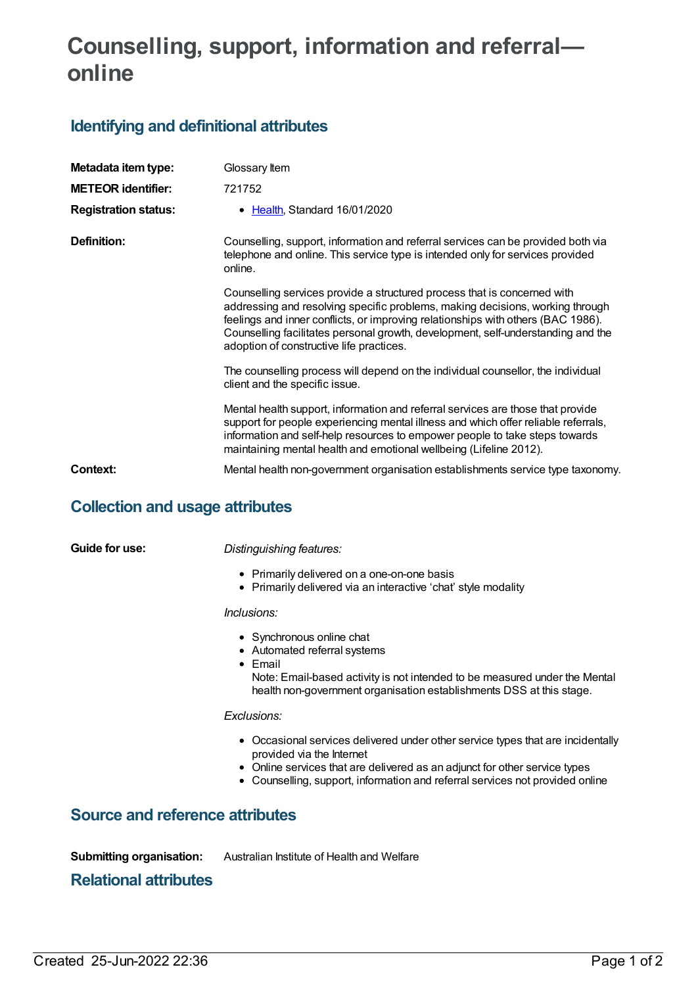# **Counselling, support, information and referral online**

# **Identifying and definitional attributes**

| Metadata item type:         | Glossary Item                                                                                                                                                                                                                                                                                                                                                                 |
|-----------------------------|-------------------------------------------------------------------------------------------------------------------------------------------------------------------------------------------------------------------------------------------------------------------------------------------------------------------------------------------------------------------------------|
| <b>METEOR identifier:</b>   | 721752                                                                                                                                                                                                                                                                                                                                                                        |
| <b>Registration status:</b> | • Health, Standard 16/01/2020                                                                                                                                                                                                                                                                                                                                                 |
| Definition:                 | Counselling, support, information and referral services can be provided both via<br>telephone and online. This service type is intended only for services provided<br>online.                                                                                                                                                                                                 |
|                             | Counselling services provide a structured process that is concerned with<br>addressing and resolving specific problems, making decisions, working through<br>feelings and inner conflicts, or improving relationships with others (BAC 1986).<br>Counselling facilitates personal growth, development, self-understanding and the<br>adoption of constructive life practices. |
|                             | The counselling process will depend on the individual counsellor, the individual<br>client and the specific issue.                                                                                                                                                                                                                                                            |
|                             | Mental health support, information and referral services are those that provide<br>support for people experiencing mental illness and which offer reliable referrals,<br>information and self-help resources to empower people to take steps towards<br>maintaining mental health and emotional wellbeing (Lifeline 2012).                                                    |
| Context:                    | Mental health non-government organisation establishments service type taxonomy.                                                                                                                                                                                                                                                                                               |

## **Collection and usage attributes**

**Guide for use:** *Distinguishing features:*

- Primarily delivered on a one-on-one basis
- Primarily delivered via an interactive 'chat' style modality

#### *Inclusions:*

- Synchronous online chat
- Automated referral systems
- Email
	- Note: Email-based activity is not intended to be measured under the Mental health non-government organisation establishments DSS at this stage.

## *Exclusions:*

- Occasional services delivered under other service types that are incidentally provided via the Internet
- Online services that are delivered as an adjunct for other service types
- Counselling, support, information and referral services not provided online

## **Source and reference attributes**

**Submitting organisation:** Australian Institute of Health and Welfare

## **Relational attributes**